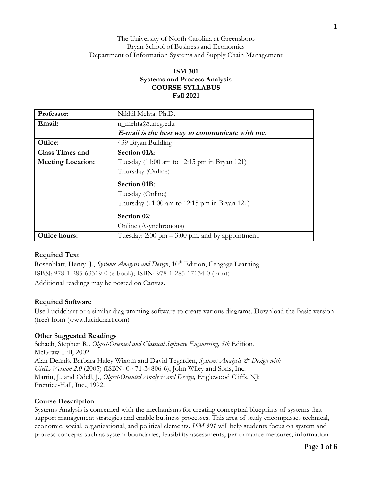## The University of North Carolina at Greensboro Bryan School of Business and Economics Department of Information Systems and Supply Chain Management

# **ISM 301 Systems and Process Analysis COURSE SYLLABUS Fall 2021**

| Professor:               | Nikhil Mehta, Ph.D.                                                |  |  |  |  |  |  |
|--------------------------|--------------------------------------------------------------------|--|--|--|--|--|--|
| Email:                   | $n$ _mehta@uncg.edu                                                |  |  |  |  |  |  |
|                          | E-mail is the best way to communicate with me.                     |  |  |  |  |  |  |
| Office:                  | 439 Bryan Building                                                 |  |  |  |  |  |  |
| <b>Class Times and</b>   | Section 01A:                                                       |  |  |  |  |  |  |
| <b>Meeting Location:</b> | Tuesday $(11:00 \text{ am to } 12:15 \text{ pm in } B$ ryan 121)   |  |  |  |  |  |  |
|                          | Thursday (Online)                                                  |  |  |  |  |  |  |
|                          | <b>Section 01B:</b>                                                |  |  |  |  |  |  |
|                          | Tuesday (Online)                                                   |  |  |  |  |  |  |
|                          | Thursday $(11:00 \text{ am to } 12:15 \text{ pm in } B$ ryan 121)  |  |  |  |  |  |  |
|                          | Section 02:                                                        |  |  |  |  |  |  |
|                          | Online (Asynchronous)                                              |  |  |  |  |  |  |
| Office hours:            | Tuesday: $2:00 \text{ pm} - 3:00 \text{ pm}$ , and by appointment. |  |  |  |  |  |  |

## **Required Text**

Rosenblatt, Henry. J., *Systems Analysis and Design*, 10<sup>th</sup> Edition, Cengage Learning. ISBN: 978-1-285-63319-0 (e-book); ISBN: 978-1-285-17134-0 (print) Additional readings may be posted on Canvas.

## **Required Software**

Use Lucidchart or a similar diagramming software to create various diagrams. Download the Basic version (free) from (www.lucidchart.com)

## **Other Suggested Readings**

Schach, Stephen R., Object-Oriented and Classical Software Engineering, 5th Edition, McGraw-Hill, 2002 Alan Dennis, Barbara Haley Wixom and David Tegarden, *Systems Analysis & Design with UML Version 2.0* (2005) (ISBN- 0-471-34806-6), John Wiley and Sons, Inc. Martin, J., and Odell, J., *Object-Oriented Analysis and Design,* Englewood Cliffs, NJ: Prentice-Hall, Inc., 1992.

### **Course Description**

Systems Analysis is concerned with the mechanisms for creating conceptual blueprints of systems that support management strategies and enable business processes. This area of study encompasses technical, economic, social, organizational, and political elements. *ISM 301* will help students focus on system and process concepts such as system boundaries, feasibility assessments, performance measures, information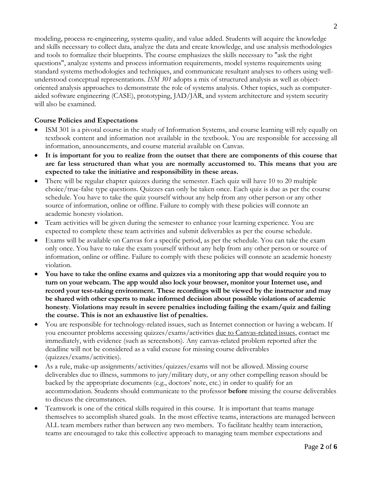modeling, process re-engineering, systems quality, and value added. Students will acquire the knowledge and skills necessary to collect data, analyze the data and create knowledge, and use analysis methodologies and tools to formalize their blueprints. The course emphasizes the skills necessary to "ask the right questions", analyze systems and process information requirements, model systems requirements using standard systems methodologies and techniques, and communicate resultant analyses to others using wellunderstood conceptual representations. *ISM 301* adopts a mix of structured analysis as well as objectoriented analysis approaches to demonstrate the role of systems analysis. Other topics, such as computeraided software engineering (CASE), prototyping, JAD/JAR, and system architecture and system security will also be examined.

## **Course Policies and Expectations**

- ISM 301 is a pivotal course in the study of Information Systems, and course learning will rely equally on textbook content and information not available in the textbook. You are responsible for accessing all information, announcements, and course material available on Canvas.
- **It is important for you to realize from the outset that there are components of this course that are far less structured than what you are normally accustomed to. This means that you are expected to take the initiative and responsibility in these areas.**
- There will be regular chapter quizzes during the semester. Each quiz will have 10 to 20 multiple choice/true-false type questions. Quizzes can only be taken once. Each quiz is due as per the course schedule. You have to take the quiz yourself without any help from any other person or any other source of information, online or offline. Failure to comply with these policies will connote an academic honesty violation.
- Team activities will be given during the semester to enhance your learning experience. You are expected to complete these team activities and submit deliverables as per the course schedule.
- Exams will be available on Canvas for a specific period, as per the schedule. You can take the exam only once. You have to take the exam yourself without any help from any other person or source of information, online or offline. Failure to comply with these policies will connote an academic honesty violation.
- **You have to take the online exams and quizzes via a monitoring app that would require you to turn on your webcam. The app would also lock your browser, monitor your Internet use, and record your test-taking environment. These recordings will be viewed by the instructor and may be shared with other experts to make informed decision about possible violations of academic honesty**. **Violations may result in severe penalties including failing the exam/quiz and failing the course. This is not an exhaustive list of penalties.**
- You are responsible for technology-related issues, such as Internet connection or having a webcam. If you encounter problems accessing quizzes/exams/activities due to Canvas-related issues, contact me immediately, with evidence (such as screenshots). Any canvas-related problem reported after the deadline will not be considered as a valid excuse for missing course deliverables (quizzes/exams/activities).
- As a rule, make-up assignments/activities/quizzes/exams will not be allowed. Missing course deliverables due to illness, summons to jury/military duty, or any other compelling reason should be backed by the appropriate documents (e.g., doctors' note, etc.) in order to qualify for an accommodation. Students should communicate to the professor **before** missing the course deliverables to discuss the circumstances.
- Teamwork is one of the critical skills required in this course. It is important that teams manage themselves to accomplish shared goals. In the most effective teams, interactions are managed between ALL team members rather than between any two members. To facilitate healthy team interaction, teams are encouraged to take this collective approach to managing team member expectations and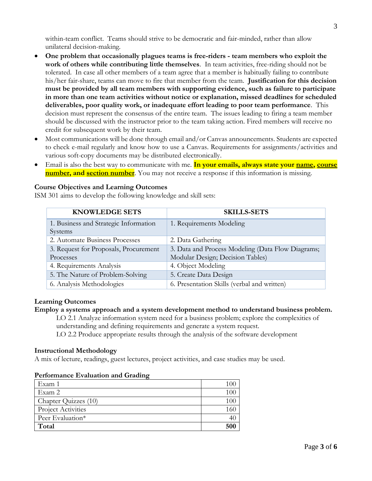within-team conflict. Teams should strive to be democratic and fair-minded, rather than allow unilateral decision-making.

- **One problem that occasionally plagues teams is free-riders - team members who exploit the work of others while contributing little themselves**. In team activities, free-riding should not be tolerated. In case all other members of a team agree that a member is habitually failing to contribute his/her fair-share, teams can move to fire that member from the team. **Justification for this decision must be provided by all team members with supporting evidence, such as failure to participate in more than one team activities without notice or explanation, missed deadlines for scheduled deliverables, poor quality work, or inadequate effort leading to poor team performance**. This decision must represent the consensus of the entire team. The issues leading to firing a team member should be discussed with the instructor prior to the team taking action. Fired members will receive no credit for subsequent work by their team.
- Most communications will be done through email and/or Canvas announcements. Students are expected to check e-mail regularly and know how to use a Canvas. Requirements for assignments/activities and various soft-copy documents may be distributed electronically.
- Email is also the best way to communicate with me. **In your emails, always state your name, course number, and section number**. You may not receive a response if this information is missing.

## **Course Objectives and Learning Outcomes**

ISM 301 aims to develop the following knowledge and skill sets:

| <b>KNOWLEDGE SETS</b>                 | <b>SKILLS-SETS</b>                                |  |  |  |
|---------------------------------------|---------------------------------------------------|--|--|--|
| 1. Business and Strategic Information | 1. Requirements Modeling                          |  |  |  |
| Systems                               |                                                   |  |  |  |
| 2. Automate Business Processes        | 2. Data Gathering                                 |  |  |  |
| 3. Request for Proposals, Procurement | 3. Data and Process Modeling (Data Flow Diagrams; |  |  |  |
| Processes                             | Modular Design; Decision Tables)                  |  |  |  |
| 4. Requirements Analysis              | 4. Object Modeling                                |  |  |  |
| 5. The Nature of Problem-Solving      | 5. Create Data Design                             |  |  |  |
| 6. Analysis Methodologies             | 6. Presentation Skills (verbal and written)       |  |  |  |

### **Learning Outcomes**

#### **Employ a systems approach and a system development method to understand business problem.**

LO 2.1 Analyze information system need for a business problem; explore the complexities of understanding and defining requirements and generate a system request.

LO 2.2 Produce appropriate results through the analysis of the software development

### **Instructional Methodology**

A mix of lecture, readings, guest lectures, project activities, and case studies may be used.

| Exam 1                    | 100 |
|---------------------------|-----|
| Exam 2                    | 100 |
| Chapter Quizzes (10)      | 100 |
| <b>Project Activities</b> | 160 |
| Peer Evaluation*          | 40  |
| Total                     | 500 |

### **Performance Evaluation and Grading**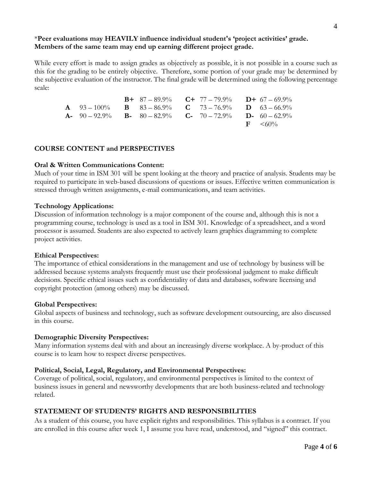# \***Peer evaluations may HEAVILY influence individual student's 'project activities' grade. Members of the same team may end up earning different project grade.**

While every effort is made to assign grades as objectively as possible, it is not possible in a course such as this for the grading to be entirely objective. Therefore, some portion of your grade may be determined by the subjective evaluation of the instructor. The final grade will be determined using the following percentage scale:

|                                                                                                     | <b>B</b> + 87 – 89.9% <b>C</b> + 77 – 79.9% <b>D</b> + 67 – 69.9% |  |                          |
|-----------------------------------------------------------------------------------------------------|-------------------------------------------------------------------|--|--------------------------|
| <b>A</b> $93-100\%$ <b>B</b> $83-86.9\%$ <b>C</b> $73-76.9\%$ <b>D</b> $63-66.9\%$                  |                                                                   |  |                          |
| <b>A</b> - $90 - 92.9\%$ <b>B</b> - $80 - 82.9\%$ <b>C</b> - $70 - 72.9\%$ <b>D</b> - $60 - 62.9\%$ |                                                                   |  |                          |
|                                                                                                     |                                                                   |  | $\rm{F} \quad \leq 60\%$ |

## **COURSE CONTENT and PERSPECTIVES**

### **Oral & Written Communications Content:**

Much of your time in ISM 301 will be spent looking at the theory and practice of analysis. Students may be required to participate in web-based discussions of questions or issues. Effective written communication is stressed through written assignments, e-mail communications, and team activities.

### **Technology Applications:**

Discussion of information technology is a major component of the course and, although this is not a programming course, technology is used as a tool in ISM 301. Knowledge of a spreadsheet, and a word processor is assumed. Students are also expected to actively learn graphics diagramming to complete project activities.

### **Ethical Perspectives:**

The importance of ethical considerations in the management and use of technology by business will be addressed because systems analysts frequently must use their professional judgment to make difficult decisions. Specific ethical issues such as confidentiality of data and databases, software licensing and copyright protection (among others) may be discussed.

### **Global Perspectives:**

Global aspects of business and technology, such as software development outsourcing, are also discussed in this course.

## **Demographic Diversity Perspectives:**

Many information systems deal with and about an increasingly diverse workplace. A by-product of this course is to learn how to respect diverse perspectives.

## **Political, Social, Legal, Regulatory, and Environmental Perspectives:**

Coverage of political, social, regulatory, and environmental perspectives is limited to the context of business issues in general and newsworthy developments that are both business-related and technology related.

## **STATEMENT OF STUDENTS' RIGHTS AND RESPONSIBILITIES**

As a student of this course, you have explicit rights and responsibilities. This syllabus is a contract. If you are enrolled in this course after week 1, I assume you have read, understood, and "signed" this contract.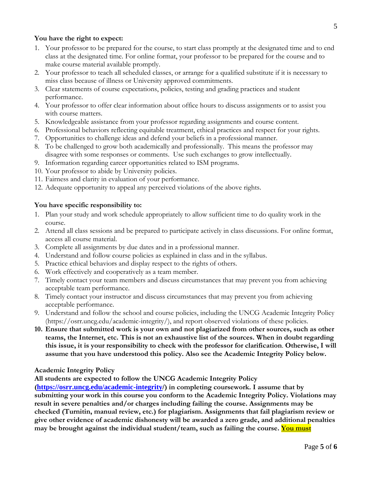## **You have the right to expect:**

- 1. Your professor to be prepared for the course, to start class promptly at the designated time and to end class at the designated time. For online format, your professor to be prepared for the course and to make course material available promptly.
- 2. Your professor to teach all scheduled classes, or arrange for a qualified substitute if it is necessary to miss class because of illness or University approved commitments.
- 3. Clear statements of course expectations, policies, testing and grading practices and student performance.
- 4. Your professor to offer clear information about office hours to discuss assignments or to assist you with course matters.
- 5. Knowledgeable assistance from your professor regarding assignments and course content.
- 6. Professional behaviors reflecting equitable treatment, ethical practices and respect for your rights.
- 7. Opportunities to challenge ideas and defend your beliefs in a professional manner.
- 8. To be challenged to grow both academically and professionally. This means the professor may disagree with some responses or comments. Use such exchanges to grow intellectually.
- 9. Information regarding career opportunities related to ISM programs.
- 10. Your professor to abide by University policies.
- 11. Fairness and clarity in evaluation of your performance.
- 12. Adequate opportunity to appeal any perceived violations of the above rights.

## **You have specific responsibility to:**

- 1. Plan your study and work schedule appropriately to allow sufficient time to do quality work in the course.
- 2. Attend all class sessions and be prepared to participate actively in class discussions. For online format, access all course material.
- 3. Complete all assignments by due dates and in a professional manner.
- 4. Understand and follow course policies as explained in class and in the syllabus.
- 5. Practice ethical behaviors and display respect to the rights of others.
- 6. Work effectively and cooperatively as a team member.
- 7. Timely contact your team members and discuss circumstances that may prevent you from achieving acceptable team performance.
- 8. Timely contact your instructor and discuss circumstances that may prevent you from achieving acceptable performance.
- 9. Understand and follow the school and course policies, including the UNCG Academic Integrity Policy (https://osrr.uncg.edu/academic-integrity/), and report observed violations of these policies.
- **10. Ensure that submitted work is your own and not plagiarized from other sources, such as other teams, the Internet, etc. This is not an exhaustive list of the sources. When in doubt regarding this issue, it is your responsibility to check with the professor for clarification**. **Otherwise, I will assume that you have understood this policy. Also see the Academic Integrity Policy below.**

## **Academic Integrity Policy**

**All students are expected to follow the UNCG Academic Integrity Policy** 

**([https://osrr.uncg.edu/academic-integrity/](https://osrr.uncg.edu/academic-integrity)) in completing coursework. I assume that by submitting your work in this course you conform to the Academic Integrity Policy. Violations may result in severe penalties and/or charges including failing the course. Assignments may be checked (Turnitin, manual review, etc.) for plagiarism. Assignments that fail plagiarism review or give other evidence of academic dishonesty will be awarded a zero grade, and additional penalties may be brought against the individual student/team, such as failing the course. You must**